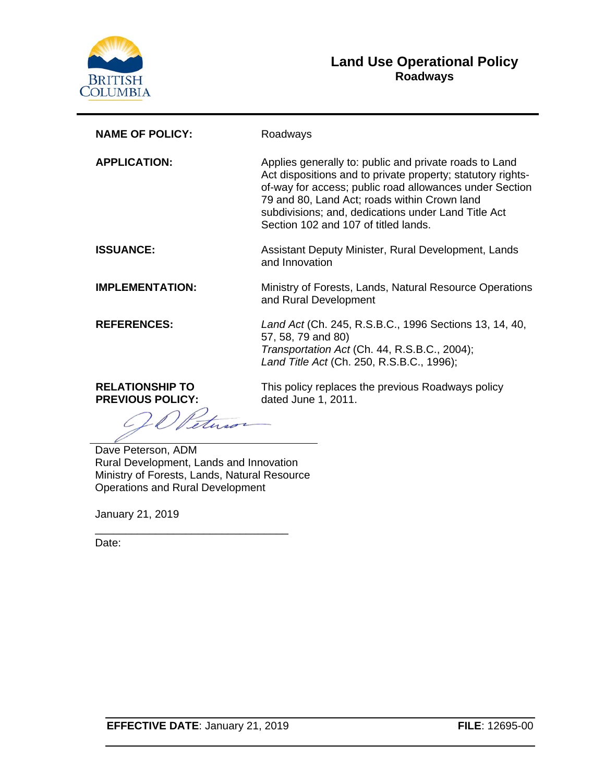

### **Land Use Operational Policy Roadways**

| <b>NAME OF POLICY:</b>                            | Roadways                                                                                                                                                                                                                                                                                                                        |
|---------------------------------------------------|---------------------------------------------------------------------------------------------------------------------------------------------------------------------------------------------------------------------------------------------------------------------------------------------------------------------------------|
| <b>APPLICATION:</b>                               | Applies generally to: public and private roads to Land<br>Act dispositions and to private property; statutory rights-<br>of-way for access; public road allowances under Section<br>79 and 80, Land Act; roads within Crown land<br>subdivisions; and, dedications under Land Title Act<br>Section 102 and 107 of titled lands. |
| <b>ISSUANCE:</b>                                  | Assistant Deputy Minister, Rural Development, Lands<br>and Innovation                                                                                                                                                                                                                                                           |
| <b>IMPLEMENTATION:</b>                            | Ministry of Forests, Lands, Natural Resource Operations<br>and Rural Development                                                                                                                                                                                                                                                |
| <b>REFERENCES:</b>                                | Land Act (Ch. 245, R.S.B.C., 1996 Sections 13, 14, 40,<br>57, 58, 79 and 80)<br>Transportation Act (Ch. 44, R.S.B.C., 2004);<br>Land Title Act (Ch. 250, R.S.B.C., 1996);                                                                                                                                                       |
| <b>RELATIONSHIP TO</b><br><b>PREVIOUS POLICY:</b> | This policy replaces the previous Roadways policy<br>dated June 1, 2011.                                                                                                                                                                                                                                                        |
| Doug Detersen ADM                                 |                                                                                                                                                                                                                                                                                                                                 |

Dave Peterson, ADM Rural Development, Lands and Innovation Ministry of Forests, Lands, Natural Resource Operations and Rural Development

\_\_\_\_\_\_\_\_\_\_\_\_\_\_\_\_\_\_\_\_\_\_\_\_\_\_\_\_\_\_\_\_

January 21, 2019

Date: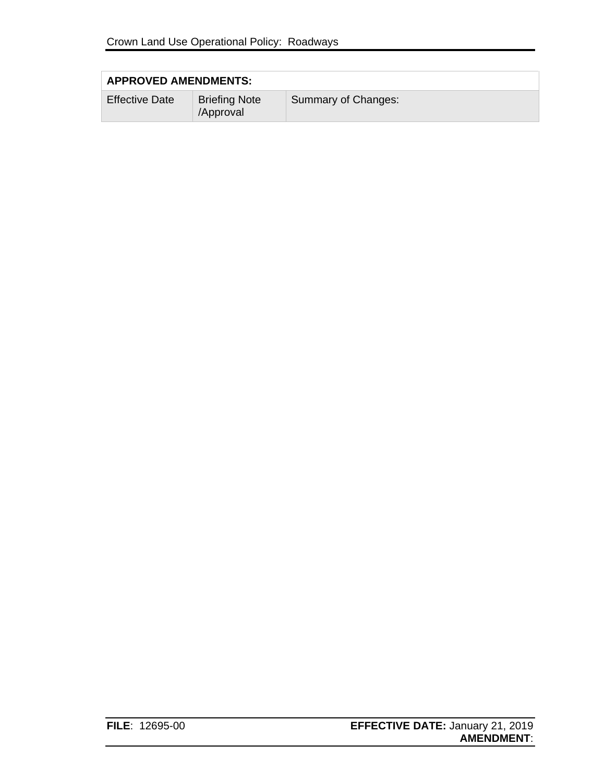| <b>APPROVED AMENDMENTS:</b> |                                   |                     |
|-----------------------------|-----------------------------------|---------------------|
| <b>Effective Date</b>       | <b>Briefing Note</b><br>/Approval | Summary of Changes: |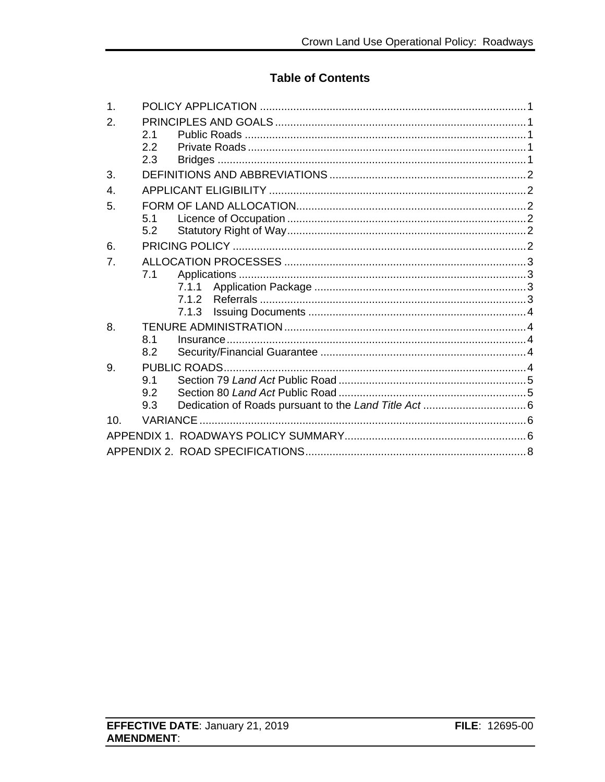### **Table of Contents**

| 1.              |     |       |  |
|-----------------|-----|-------|--|
| 2.              |     |       |  |
|                 | 2.1 |       |  |
|                 | 2.2 |       |  |
|                 | 2.3 |       |  |
| 3.              |     |       |  |
| $\mathbf{4}$ .  |     |       |  |
| 5.              |     |       |  |
|                 | 5.1 |       |  |
|                 | 5.2 |       |  |
| 6.              |     |       |  |
| 7 <sub>1</sub>  |     |       |  |
|                 | 7.1 |       |  |
|                 |     | 7.1.1 |  |
|                 |     |       |  |
|                 |     | 7.1.3 |  |
| 8.              |     |       |  |
|                 | 8.1 |       |  |
|                 | 8.2 |       |  |
| 9.              |     |       |  |
|                 | 9.1 |       |  |
|                 | 9.2 |       |  |
|                 | 9.3 |       |  |
| 10 <sub>1</sub> |     |       |  |
|                 |     |       |  |
|                 |     |       |  |
|                 |     |       |  |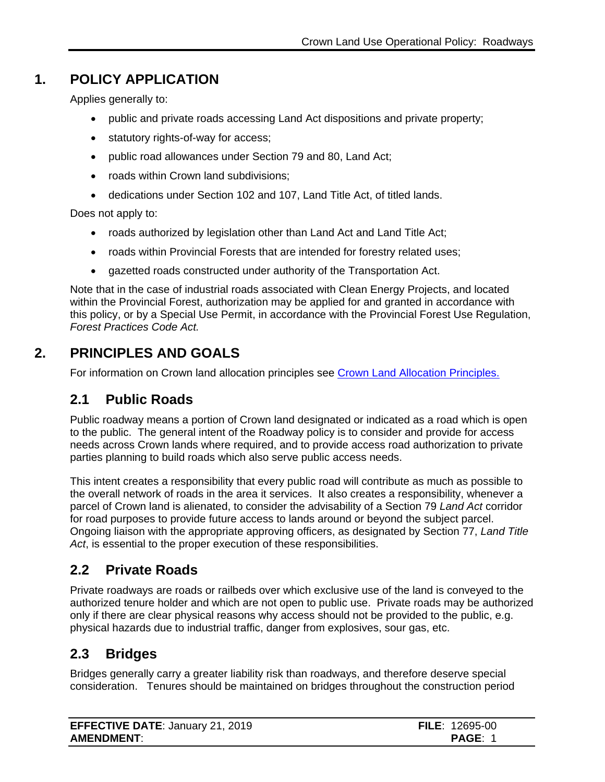## **1. POLICY APPLICATION**

<span id="page-3-0"></span>Applies generally to:

- public and private roads accessing Land Act dispositions and private property;
- statutory rights-of-way for access;
- public road allowances under Section 79 and 80, Land Act;
- roads within Crown land subdivisions;
- dedications under Section 102 and 107, Land Title Act, of titled lands.

Does not apply to:

- roads authorized by legislation other than Land Act and Land Title Act;
- roads within Provincial Forests that are intended for forestry related uses;
- gazetted roads constructed under authority of the Transportation Act.

Note that in the case of industrial roads associated with Clean Energy Projects, and located within the Provincial Forest, authorization may be applied for and granted in accordance with this policy, or by a Special Use Permit, in accordance with the Provincial Forest Use Regulation, *Forest Practices Code Act.* 

### **2. PRINCIPLES AND GOALS**

<span id="page-3-1"></span>For information on Crown land allocation principles see [Crown Land Allocation Principles.](https://www2.gov.bc.ca/assets/gov/farming-natural-resources-and-industry/natural-resource-use/land-water-use/crown-land/allocation_principles.pdf)

### <span id="page-3-2"></span>**2.1 Public Roads**

Public roadway means a portion of Crown land designated or indicated as a road which is open to the public. The general intent of the Roadway policy is to consider and provide for access needs across Crown lands where required, and to provide access road authorization to private parties planning to build roads which also serve public access needs.

This intent creates a responsibility that every public road will contribute as much as possible to the overall network of roads in the area it services. It also creates a responsibility, whenever a parcel of Crown land is alienated, to consider the advisability of a Section 79 *Land Act* corridor for road purposes to provide future access to lands around or beyond the subject parcel. Ongoing liaison with the appropriate approving officers, as designated by Section 77, *Land Title Act*, is essential to the proper execution of these responsibilities.

### <span id="page-3-3"></span>**2.2 Private Roads**

Private roadways are roads or railbeds over which exclusive use of the land is conveyed to the authorized tenure holder and which are not open to public use. Private roads may be authorized only if there are clear physical reasons why access should not be provided to the public, e.g. physical hazards due to industrial traffic, danger from explosives, sour gas, etc.

### <span id="page-3-4"></span>**2.3 Bridges**

Bridges generally carry a greater liability risk than roadways, and therefore deserve special consideration. Tenures should be maintained on bridges throughout the construction period

| <b>EFFECTIVE DATE: January 21, 2019</b> | <b>FILE: 12695-00</b> |
|-----------------------------------------|-----------------------|
| <b>AMENDMENT:</b>                       | <b>PAGE:</b>          |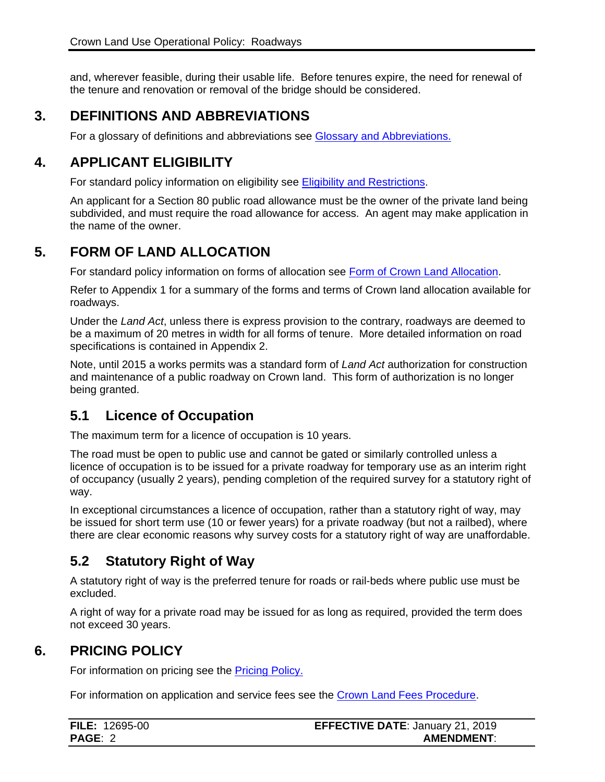and, wherever feasible, during their usable life. Before tenures expire, the need for renewal of the tenure and renovation or removal of the bridge should be considered.

### **3. DEFINITIONS AND ABBREVIATIONS**

<span id="page-4-0"></span>For a glossary of definitions and abbreviations see [Glossary and Abbreviations.](https://www2.gov.bc.ca/assets/gov/farming-natural-resources-and-industry/natural-resource-use/land-water-use/crown-land/glossary_and_abbreviations.pdf)

### **4. APPLICANT ELIGIBILITY**

<span id="page-4-1"></span>For standard policy information on eligibility see [Eligibility and Restrictions.](http://www2.gov.bc.ca/assets/gov/farming-natural-resources-and-industry/natural-resource-use/land-water-use/crown-land/eligibility.pdf)

An applicant for a Section 80 public road allowance must be the owner of the private land being subdivided, and must require the road allowance for access. An agent may make application in the name of the owner.

## **5. FORM OF LAND ALLOCATION**

<span id="page-4-2"></span>For standard policy information on forms of allocation see [Form of Crown Land Allocation.](http://www2.gov.bc.ca/assets/gov/farming-natural-resources-and-industry/natural-resource-use/land-water-use/crown-land/form_of_allocation.pdf)

Refer to Appendix 1 for a summary of the forms and terms of Crown land allocation available for roadways.

Under the *Land Act*, unless there is express provision to the contrary, roadways are deemed to be a maximum of 20 metres in width for all forms of tenure. More detailed information on road specifications is contained in Appendix 2.

Note, until 2015 a works permits was a standard form of *Land Act* authorization for construction and maintenance of a public roadway on Crown land. This form of authorization is no longer being granted.

### <span id="page-4-3"></span>**5.1 Licence of Occupation**

The maximum term for a licence of occupation is 10 years.

The road must be open to public use and cannot be gated or similarly controlled unless a licence of occupation is to be issued for a private roadway for temporary use as an interim right of occupancy (usually 2 years), pending completion of the required survey for a statutory right of way.

In exceptional circumstances a licence of occupation, rather than a statutory right of way, may be issued for short term use (10 or fewer years) for a private roadway (but not a railbed), where there are clear economic reasons why survey costs for a statutory right of way are unaffordable.

## <span id="page-4-4"></span>**5.2 Statutory Right of Way**

A statutory right of way is the preferred tenure for roads or rail-beds where public use must be excluded.

A right of way for a private road may be issued for as long as required, provided the term does not exceed 30 years.

### **6. PRICING POLICY**

<span id="page-4-5"></span>For information on pricing see the **Pricing Policy.** 

For information on application and service fees see the [Crown Land Fees Procedure.](https://www2.gov.bc.ca/assets/gov/farming-natural-resources-and-industry/natural-resource-use/land-water-use/crown-land/fees.pdf)

| <b>FILE: 12695-00</b> | <b>EFFECTIVE DATE: January 21, 2019</b> |
|-----------------------|-----------------------------------------|
| <b>PAGE: 2</b>        | <b>AMENDMENT:</b>                       |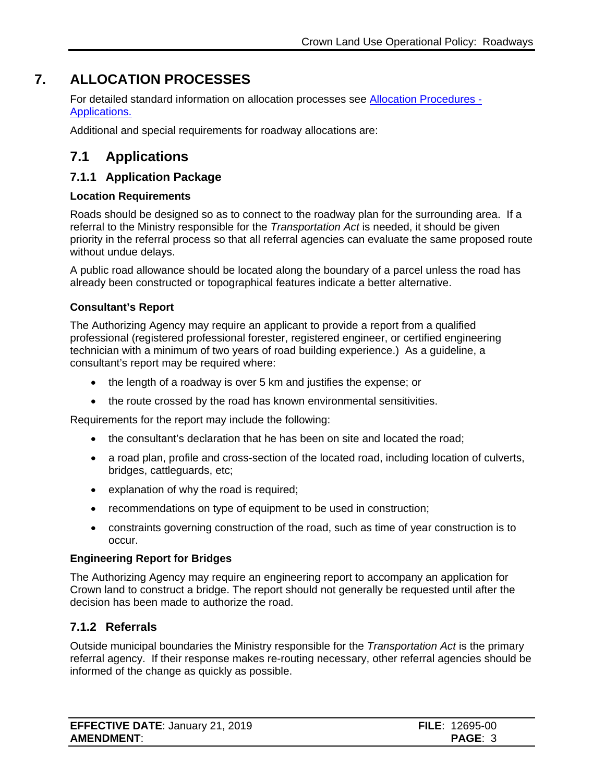## **7. ALLOCATION PROCESSES**

<span id="page-5-0"></span>For detailed standard information on allocation processes see [Allocation Procedures -](https://www2.gov.bc.ca/assets/gov/farming-natural-resources-and-industry/natural-resource-use/land-water-use/crown-land/ap_applications.pdf) [Applications.](https://www2.gov.bc.ca/assets/gov/farming-natural-resources-and-industry/natural-resource-use/land-water-use/crown-land/ap_applications.pdf)

Additional and special requirements for roadway allocations are:

### <span id="page-5-1"></span>**7.1 Applications**

#### <span id="page-5-2"></span>**7.1.1 Application Package**

#### **Location Requirements**

Roads should be designed so as to connect to the roadway plan for the surrounding area. If a referral to the Ministry responsible for the *Transportation Act* is needed, it should be given priority in the referral process so that all referral agencies can evaluate the same proposed route without undue delays.

A public road allowance should be located along the boundary of a parcel unless the road has already been constructed or topographical features indicate a better alternative.

#### **Consultant's Report**

The Authorizing Agency may require an applicant to provide a report from a qualified professional (registered professional forester, registered engineer, or certified engineering technician with a minimum of two years of road building experience.) As a guideline, a consultant's report may be required where:

- the length of a roadway is over 5 km and justifies the expense; or
- the route crossed by the road has known environmental sensitivities.

Requirements for the report may include the following:

- the consultant's declaration that he has been on site and located the road;
- a road plan, profile and cross-section of the located road, including location of culverts, bridges, cattleguards, etc;
- explanation of why the road is required;
- recommendations on type of equipment to be used in construction;
- constraints governing construction of the road, such as time of year construction is to occur.

#### **Engineering Report for Bridges**

The Authorizing Agency may require an engineering report to accompany an application for Crown land to construct a bridge. The report should not generally be requested until after the decision has been made to authorize the road.

#### <span id="page-5-3"></span>**7.1.2 Referrals**

Outside municipal boundaries the Ministry responsible for the *Transportation Act* is the primary referral agency. If their response makes re-routing necessary, other referral agencies should be informed of the change as quickly as possible.

| <b>EFFECTIVE DATE: January 21, 2019</b> | <b>FILE: 12695-00</b> |
|-----------------------------------------|-----------------------|
| <b>AMENDMENT:</b>                       | PAGE: 3               |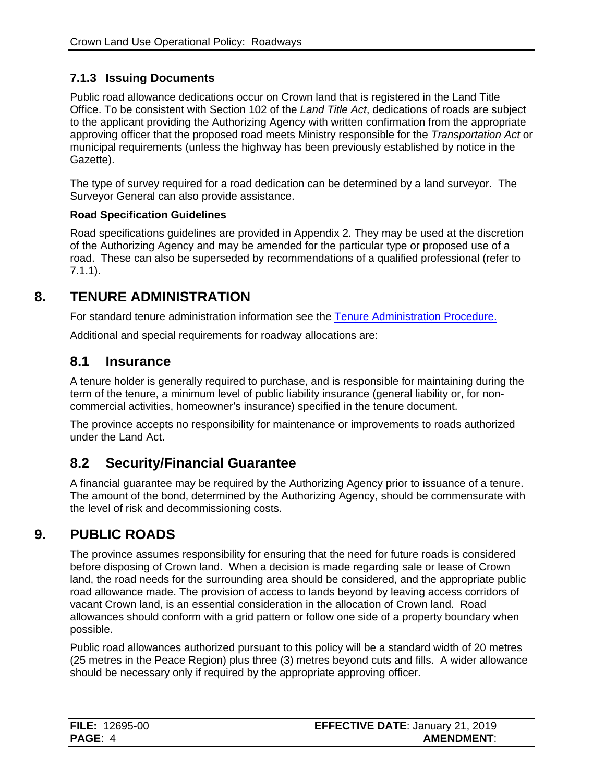### <span id="page-6-0"></span>**7.1.3 Issuing Documents**

Public road allowance dedications occur on Crown land that is registered in the Land Title Office. To be consistent with Section 102 of the *Land Title Act*, dedications of roads are subject to the applicant providing the Authorizing Agency with written confirmation from the appropriate approving officer that the proposed road meets Ministry responsible for the *Transportation Act* or municipal requirements (unless the highway has been previously established by notice in the Gazette).

The type of survey required for a road dedication can be determined by a land surveyor. The Surveyor General can also provide assistance.

#### **Road Specification Guidelines**

Road specifications guidelines are provided in Appendix 2. They may be used at the discretion of the Authorizing Agency and may be amended for the particular type or proposed use of a road. These can also be superseded by recommendations of a qualified professional (refer to 7.1.1).

### **8. TENURE ADMINISTRATION**

<span id="page-6-1"></span>For standard tenure administration information see the [Tenure Administration Procedure.](https://www2.gov.bc.ca/assets/gov/farming-natural-resources-and-industry/natural-resource-use/land-water-use/crown-land/ta_general.pdf)

Additional and special requirements for roadway allocations are:

### <span id="page-6-2"></span>**8.1 Insurance**

A tenure holder is generally required to purchase, and is responsible for maintaining during the term of the tenure, a minimum level of public liability insurance (general liability or, for noncommercial activities, homeowner's insurance) specified in the tenure document.

The province accepts no responsibility for maintenance or improvements to roads authorized under the Land Act.

### <span id="page-6-3"></span>**8.2 Security/Financial Guarantee**

A financial guarantee may be required by the Authorizing Agency prior to issuance of a tenure. The amount of the bond, determined by the Authorizing Agency, should be commensurate with the level of risk and decommissioning costs.

### **9. PUBLIC ROADS**

<span id="page-6-4"></span>The province assumes responsibility for ensuring that the need for future roads is considered before disposing of Crown land. When a decision is made regarding sale or lease of Crown land, the road needs for the surrounding area should be considered, and the appropriate public road allowance made. The provision of access to lands beyond by leaving access corridors of vacant Crown land, is an essential consideration in the allocation of Crown land. Road allowances should conform with a grid pattern or follow one side of a property boundary when possible.

Public road allowances authorized pursuant to this policy will be a standard width of 20 metres (25 metres in the Peace Region) plus three (3) metres beyond cuts and fills. A wider allowance should be necessary only if required by the appropriate approving officer.

| <b>FILE: 12695-00</b> | <b>EFFECTIVE DATE: January 21, 2019</b> |
|-----------------------|-----------------------------------------|
| <b>PAGE: 4</b>        | <b>AMENDMENT:</b>                       |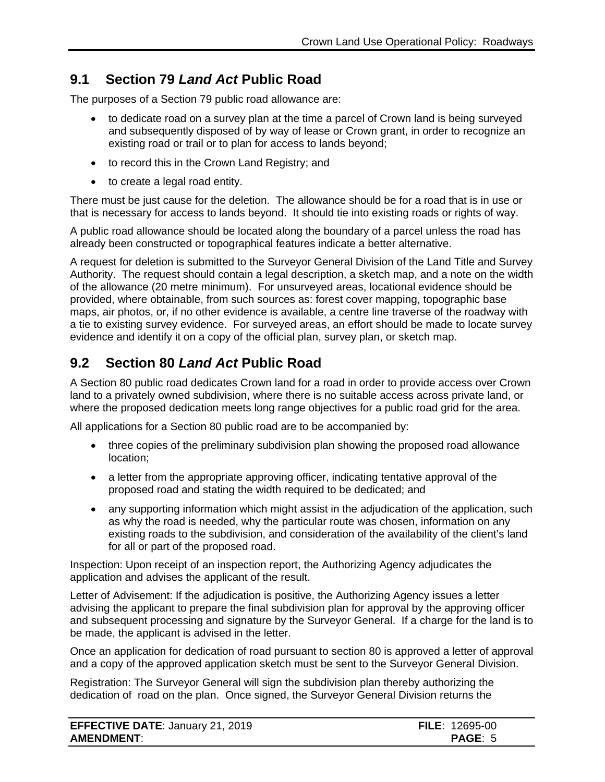### <span id="page-7-0"></span>**9.1 Section 79** *Land Act* **Public Road**

The purposes of a Section 79 public road allowance are:

- to dedicate road on a survey plan at the time a parcel of Crown land is being surveyed and subsequently disposed of by way of lease or Crown grant, in order to recognize an existing road or trail or to plan for access to lands beyond;
- to record this in the Crown Land Registry; and
- to create a legal road entity.

There must be just cause for the deletion. The allowance should be for a road that is in use or that is necessary for access to lands beyond. It should tie into existing roads or rights of way.

A public road allowance should be located along the boundary of a parcel unless the road has already been constructed or topographical features indicate a better alternative.

A request for deletion is submitted to the Surveyor General Division of the Land Title and Survey Authority. The request should contain a legal description, a sketch map, and a note on the width of the allowance (20 metre minimum). For unsurveyed areas, locational evidence should be provided, where obtainable, from such sources as: forest cover mapping, topographic base maps, air photos, or, if no other evidence is available, a centre line traverse of the roadway with a tie to existing survey evidence. For surveyed areas, an effort should be made to locate survey evidence and identify it on a copy of the official plan, survey plan, or sketch map.

## <span id="page-7-1"></span>**9.2 Section 80** *Land Act* **Public Road**

A Section 80 public road dedicates Crown land for a road in order to provide access over Crown land to a privately owned subdivision, where there is no suitable access across private land, or where the proposed dedication meets long range objectives for a public road grid for the area.

All applications for a Section 80 public road are to be accompanied by:

- three copies of the preliminary subdivision plan showing the proposed road allowance location;
- a letter from the appropriate approving officer, indicating tentative approval of the proposed road and stating the width required to be dedicated; and
- any supporting information which might assist in the adjudication of the application, such as why the road is needed, why the particular route was chosen, information on any existing roads to the subdivision, and consideration of the availability of the client's land for all or part of the proposed road.

Inspection: Upon receipt of an inspection report, the Authorizing Agency adjudicates the application and advises the applicant of the result.

Letter of Advisement: If the adjudication is positive, the Authorizing Agency issues a letter advising the applicant to prepare the final subdivision plan for approval by the approving officer and subsequent processing and signature by the Surveyor General. If a charge for the land is to be made, the applicant is advised in the letter.

Once an application for dedication of road pursuant to section 80 is approved a letter of approval and a copy of the approved application sketch must be sent to the Surveyor General Division.

Registration: The Surveyor General will sign the subdivision plan thereby authorizing the dedication of road on the plan. Once signed, the Surveyor General Division returns the

| <b>EFFECTIVE DATE: January 21, 2019</b> | <b>FILE: 12695-00</b> |
|-----------------------------------------|-----------------------|
| <b>AMENDMENT:</b>                       | <b>PAGE: 5</b>        |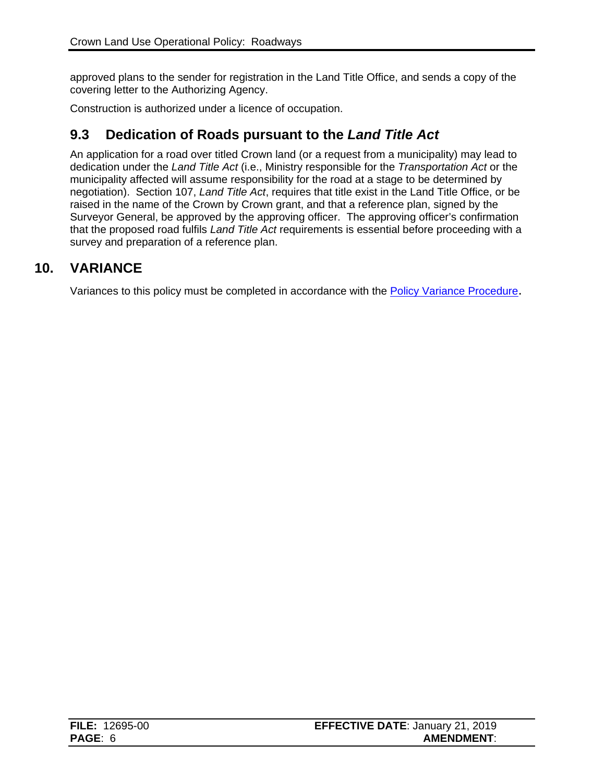approved plans to the sender for registration in the Land Title Office, and sends a copy of the covering letter to the Authorizing Agency.

Construction is authorized under a licence of occupation.

### <span id="page-8-0"></span>**9.3 Dedication of Roads pursuant to the** *Land Title Act*

An application for a road over titled Crown land (or a request from a municipality) may lead to dedication under the *Land Title Act* (i.e., Ministry responsible for the *Transportation Act* or the municipality affected will assume responsibility for the road at a stage to be determined by negotiation). Section 107, *Land Title Act*, requires that title exist in the Land Title Office, or be raised in the name of the Crown by Crown grant, and that a reference plan, signed by the Surveyor General, be approved by the approving officer. The approving officer's confirmation that the proposed road fulfils *Land Title Act* requirements is essential before proceeding with a survey and preparation of a reference plan.

### **10. VARIANCE**

<span id="page-8-2"></span><span id="page-8-1"></span>Variances to this policy must be completed in accordance with the [Policy Variance Procedure.](https://www2.gov.bc.ca/assets/gov/farming-natural-resources-and-industry/natural-resource-use/land-water-use/crown-land/variance.pdf)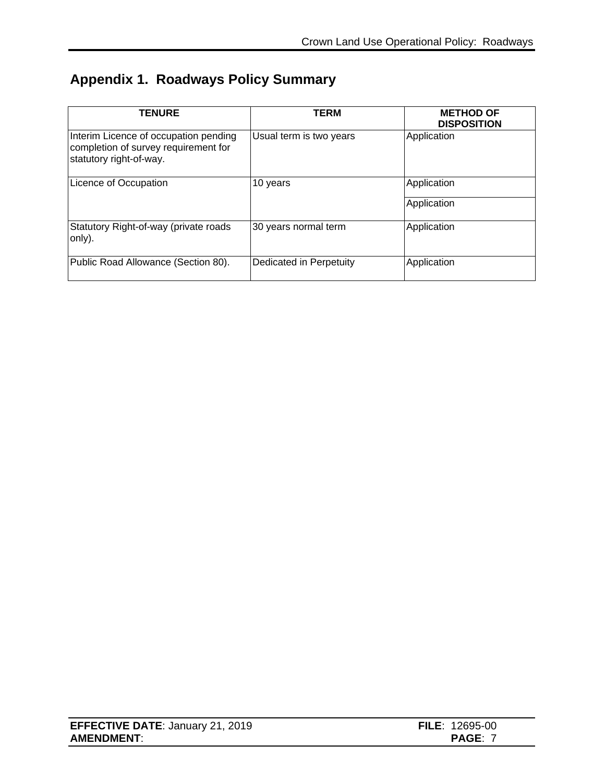# **Appendix 1. Roadways Policy Summary**

| <b>TENURE</b>                                                                                            | <b>TERM</b>             | <b>METHOD OF</b><br><b>DISPOSITION</b> |
|----------------------------------------------------------------------------------------------------------|-------------------------|----------------------------------------|
| Interim Licence of occupation pending<br>completion of survey requirement for<br>statutory right-of-way. | Usual term is two years | Application                            |
| Licence of Occupation                                                                                    | 10 years                | Application                            |
|                                                                                                          |                         | Application                            |
| Statutory Right-of-way (private roads<br>only).                                                          | 30 years normal term    | Application                            |
| Public Road Allowance (Section 80).                                                                      | Dedicated in Perpetuity | Application                            |

| <b>EFFECTIVE DATE: January 21, 2019</b> | <b>FILE</b> : $12695-00$ |
|-----------------------------------------|--------------------------|
| <b>AMENDMENT:</b>                       | PAGE                     |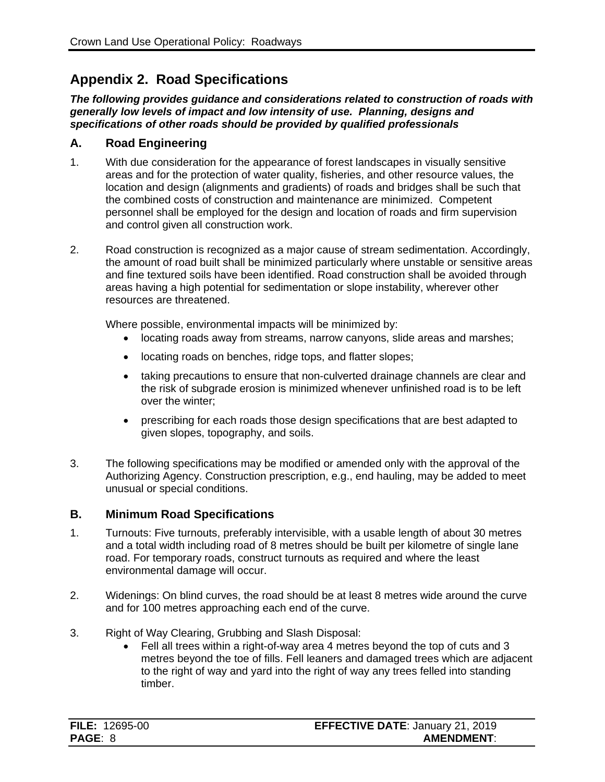### <span id="page-10-0"></span>**Appendix 2. Road Specifications**

*The following provides guidance and considerations related to construction of roads with generally low levels of impact and low intensity of use. Planning, designs and specifications of other roads should be provided by qualified professionals*

#### **A. Road Engineering**

- 1. With due consideration for the appearance of forest landscapes in visually sensitive areas and for the protection of water quality, fisheries, and other resource values, the location and design (alignments and gradients) of roads and bridges shall be such that the combined costs of construction and maintenance are minimized. Competent personnel shall be employed for the design and location of roads and firm supervision and control given all construction work.
- 2. Road construction is recognized as a major cause of stream sedimentation. Accordingly, the amount of road built shall be minimized particularly where unstable or sensitive areas and fine textured soils have been identified. Road construction shall be avoided through areas having a high potential for sedimentation or slope instability, wherever other resources are threatened.

Where possible, environmental impacts will be minimized by:

- locating roads away from streams, narrow canyons, slide areas and marshes;
- locating roads on benches, ridge tops, and flatter slopes;
- taking precautions to ensure that non-culverted drainage channels are clear and the risk of subgrade erosion is minimized whenever unfinished road is to be left over the winter;
- prescribing for each roads those design specifications that are best adapted to given slopes, topography, and soils.
- 3. The following specifications may be modified or amended only with the approval of the Authorizing Agency. Construction prescription, e.g., end hauling, may be added to meet unusual or special conditions.

#### **B. Minimum Road Specifications**

- 1. Turnouts: Five turnouts, preferably intervisible, with a usable length of about 30 metres and a total width including road of 8 metres should be built per kilometre of single lane road. For temporary roads, construct turnouts as required and where the least environmental damage will occur.
- 2. Widenings: On blind curves, the road should be at least 8 metres wide around the curve and for 100 metres approaching each end of the curve.
- 3. Right of Way Clearing, Grubbing and Slash Disposal:
	- Fell all trees within a right-of-way area 4 metres beyond the top of cuts and 3 metres beyond the toe of fills. Fell leaners and damaged trees which are adjacent to the right of way and yard into the right of way any trees felled into standing timber.

| <b>FILE: 12695-00</b> | <b>EFFECTIVE DATE: January 21, 2019</b> |
|-----------------------|-----------------------------------------|
| <b>PAGE: 8</b>        | <b>AMENDMENT:</b>                       |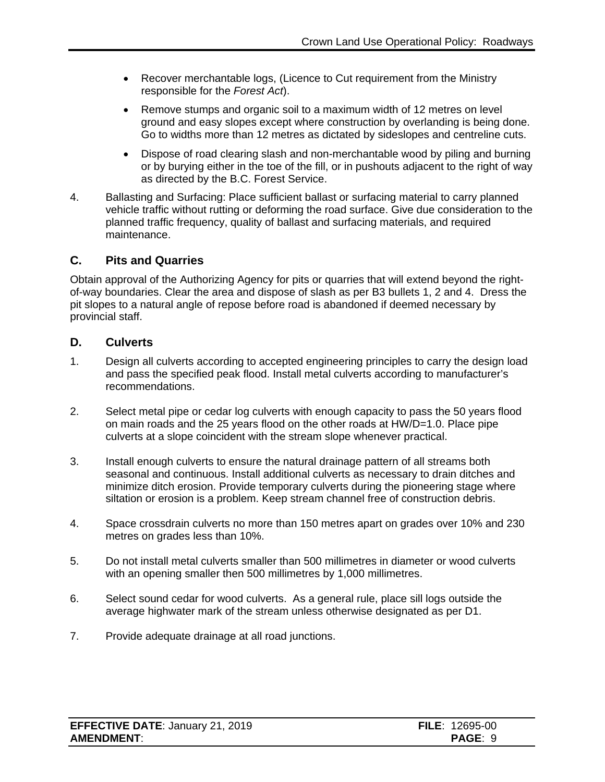- Recover merchantable logs, (Licence to Cut requirement from the Ministry responsible for the *Forest Act*).
- Remove stumps and organic soil to a maximum width of 12 metres on level ground and easy slopes except where construction by overlanding is being done. Go to widths more than 12 metres as dictated by sideslopes and centreline cuts.
- Dispose of road clearing slash and non-merchantable wood by piling and burning or by burying either in the toe of the fill, or in pushouts adjacent to the right of way as directed by the B.C. Forest Service.
- 4. Ballasting and Surfacing: Place sufficient ballast or surfacing material to carry planned vehicle traffic without rutting or deforming the road surface. Give due consideration to the planned traffic frequency, quality of ballast and surfacing materials, and required maintenance.

#### **C. Pits and Quarries**

Obtain approval of the Authorizing Agency for pits or quarries that will extend beyond the rightof-way boundaries. Clear the area and dispose of slash as per B3 bullets 1, 2 and 4. Dress the pit slopes to a natural angle of repose before road is abandoned if deemed necessary by provincial staff.

#### **D. Culverts**

- 1. Design all culverts according to accepted engineering principles to carry the design load and pass the specified peak flood. Install metal culverts according to manufacturer's recommendations.
- 2. Select metal pipe or cedar log culverts with enough capacity to pass the 50 years flood on main roads and the 25 years flood on the other roads at HW/D=1.0. Place pipe culverts at a slope coincident with the stream slope whenever practical.
- 3. Install enough culverts to ensure the natural drainage pattern of all streams both seasonal and continuous. Install additional culverts as necessary to drain ditches and minimize ditch erosion. Provide temporary culverts during the pioneering stage where siltation or erosion is a problem. Keep stream channel free of construction debris.
- 4. Space crossdrain culverts no more than 150 metres apart on grades over 10% and 230 metres on grades less than 10%.
- 5. Do not install metal culverts smaller than 500 millimetres in diameter or wood culverts with an opening smaller then 500 millimetres by 1,000 millimetres.
- 6. Select sound cedar for wood culverts. As a general rule, place sill logs outside the average highwater mark of the stream unless otherwise designated as per D1.
- 7. Provide adequate drainage at all road junctions.

| <b>EFFECTIVE DATE: January 21, 2019</b> | <b>FILE</b> : 12695-00 |
|-----------------------------------------|------------------------|
| <b>AMENDMENT:</b>                       | PAGE: 9                |